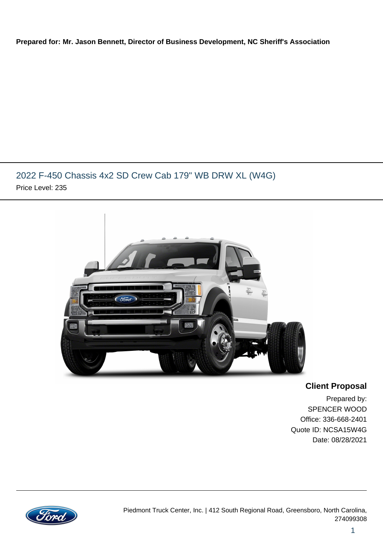#### **Prepared for: Mr. Jason Bennett, Director of Business Development, NC Sheriff's Association**

### 2022 F-450 Chassis 4x2 SD Crew Cab 179" WB DRW XL (W4G) Price Level: 235



### **Client Proposal**

Prepared by: SPENCER WOOD Office: 336-668-2401 Quote ID: NCSA15W4G Date: 08/28/2021

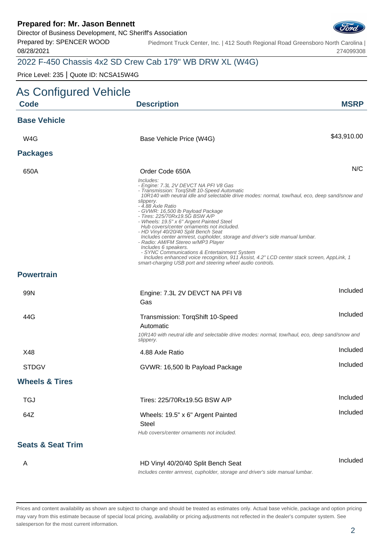Director of Business Development, NC Sheriff's Association

Prepared by: SPENCER WOOD 08/28/2021

Piedmont Truck Center, Inc. | 412 South Regional Road Greensboro North Carolina | 274099308

# 2022 F-450 Chassis 4x2 SD Crew Cab 179" WB DRW XL (W4G)

Price Level: 235 | Quote ID: NCSA15W4G

| As Configured Vehicle        |                                                                                                                                                                                                                                                                                                                                                                                                                                                                                                                                                                                                                                                                                                                                                                                                          |             |
|------------------------------|----------------------------------------------------------------------------------------------------------------------------------------------------------------------------------------------------------------------------------------------------------------------------------------------------------------------------------------------------------------------------------------------------------------------------------------------------------------------------------------------------------------------------------------------------------------------------------------------------------------------------------------------------------------------------------------------------------------------------------------------------------------------------------------------------------|-------------|
| <b>Code</b>                  | <b>Description</b>                                                                                                                                                                                                                                                                                                                                                                                                                                                                                                                                                                                                                                                                                                                                                                                       | <b>MSRP</b> |
| <b>Base Vehicle</b>          |                                                                                                                                                                                                                                                                                                                                                                                                                                                                                                                                                                                                                                                                                                                                                                                                          |             |
| W4G                          | Base Vehicle Price (W4G)                                                                                                                                                                                                                                                                                                                                                                                                                                                                                                                                                                                                                                                                                                                                                                                 | \$43,910.00 |
| <b>Packages</b>              |                                                                                                                                                                                                                                                                                                                                                                                                                                                                                                                                                                                                                                                                                                                                                                                                          |             |
| 650A                         | Order Code 650A                                                                                                                                                                                                                                                                                                                                                                                                                                                                                                                                                                                                                                                                                                                                                                                          | N/C         |
|                              | Includes:<br>- Engine: 7.3L 2V DEVCT NA PFI V8 Gas<br>- Transmission: TorqShift 10-Speed Automatic<br>10R140 with neutral idle and selectable drive modes: normal, tow/haul, eco, deep sand/snow and<br>slippery.<br>- 4.88 Axle Ratio<br>- GVWR: 16,500 lb Payload Package<br>- Tires: 225/70Rx19.5G BSW A/P<br>- Wheels: 19.5" x 6" Argent Painted Steel<br>Hub covers/center ornaments not included.<br>- HD Vinyl 40/20/40 Split Bench Seat<br>Includes center armrest, cupholder, storage and driver's side manual lumbar.<br>- Radio: AM/FM Stereo w/MP3 Player<br>Includes 6 speakers.<br>- SYNC Communications & Entertainment System<br>Includes enhanced voice recognition, 911 Assist, 4.2" LCD center stack screen, AppLink, 1<br>smart-charging USB port and steering wheel audio controls. |             |
| <b>Powertrain</b>            |                                                                                                                                                                                                                                                                                                                                                                                                                                                                                                                                                                                                                                                                                                                                                                                                          |             |
| 99N                          | Engine: 7.3L 2V DEVCT NA PFI V8<br>Gas                                                                                                                                                                                                                                                                                                                                                                                                                                                                                                                                                                                                                                                                                                                                                                   | Included    |
| 44G                          | Transmission: TorqShift 10-Speed<br>Automatic<br>10R140 with neutral idle and selectable drive modes: normal, tow/haul, eco, deep sand/snow and<br>slippery.                                                                                                                                                                                                                                                                                                                                                                                                                                                                                                                                                                                                                                             | Included    |
| X48                          | 4.88 Axle Ratio                                                                                                                                                                                                                                                                                                                                                                                                                                                                                                                                                                                                                                                                                                                                                                                          | Included    |
| <b>STDGV</b>                 | GVWR: 16,500 lb Payload Package                                                                                                                                                                                                                                                                                                                                                                                                                                                                                                                                                                                                                                                                                                                                                                          | Included    |
| <b>Wheels &amp; Tires</b>    |                                                                                                                                                                                                                                                                                                                                                                                                                                                                                                                                                                                                                                                                                                                                                                                                          |             |
| <b>TGJ</b>                   | Tires: 225/70Rx19.5G BSW A/P                                                                                                                                                                                                                                                                                                                                                                                                                                                                                                                                                                                                                                                                                                                                                                             | Included    |
| 64Z                          | Wheels: 19.5" x 6" Argent Painted<br><b>Steel</b><br>Hub covers/center ornaments not included.                                                                                                                                                                                                                                                                                                                                                                                                                                                                                                                                                                                                                                                                                                           | Included    |
| <b>Seats &amp; Seat Trim</b> |                                                                                                                                                                                                                                                                                                                                                                                                                                                                                                                                                                                                                                                                                                                                                                                                          |             |
| A                            | HD Vinyl 40/20/40 Split Bench Seat<br>Includes center armrest, cupholder, storage and driver's side manual lumbar.                                                                                                                                                                                                                                                                                                                                                                                                                                                                                                                                                                                                                                                                                       | Included    |

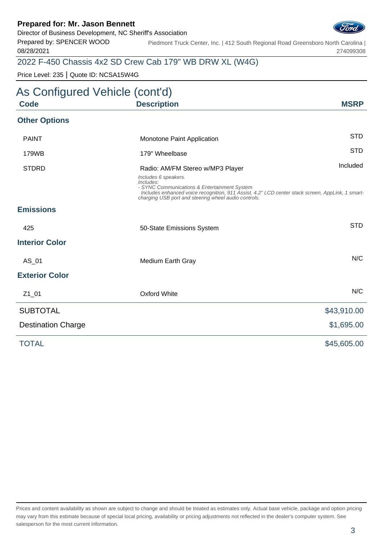Director of Business Development, NC Sheriff's Association

Prepared by: SPENCER WOOD 08/28/2021

Piedmont Truck Center, Inc. | 412 South Regional Road Greensboro North Carolina | 274099308

## 2022 F-450 Chassis 4x2 SD Crew Cab 179" WB DRW XL (W4G)

Price Level: 235 | Quote ID: NCSA15W4G

| As Configured Vehicle (cont'd) |                                                                                                                                                                                                                                               |             |
|--------------------------------|-----------------------------------------------------------------------------------------------------------------------------------------------------------------------------------------------------------------------------------------------|-------------|
| <b>Code</b>                    | <b>Description</b>                                                                                                                                                                                                                            | <b>MSRP</b> |
| <b>Other Options</b>           |                                                                                                                                                                                                                                               |             |
| <b>PAINT</b>                   | Monotone Paint Application                                                                                                                                                                                                                    | <b>STD</b>  |
| 179WB                          | 179" Wheelbase                                                                                                                                                                                                                                | <b>STD</b>  |
| <b>STDRD</b>                   | Radio: AM/FM Stereo w/MP3 Player                                                                                                                                                                                                              | Included    |
|                                | Includes 6 speakers.<br>Includes:<br>- SYNC Communications & Entertainment System<br>Includes enhanced voice recognition, 911 Assist, 4.2" LCD center stack screen, AppLink, 1 smart-<br>charging USB port and steering wheel audio controls. |             |
| <b>Emissions</b>               |                                                                                                                                                                                                                                               |             |
| 425                            | 50-State Emissions System                                                                                                                                                                                                                     | <b>STD</b>  |
| <b>Interior Color</b>          |                                                                                                                                                                                                                                               |             |
| AS_01                          | Medium Earth Gray                                                                                                                                                                                                                             | N/C         |
| <b>Exterior Color</b>          |                                                                                                                                                                                                                                               |             |
| $Z1_01$                        | Oxford White                                                                                                                                                                                                                                  | N/C         |
| <b>SUBTOTAL</b>                |                                                                                                                                                                                                                                               | \$43,910.00 |
| <b>Destination Charge</b>      |                                                                                                                                                                                                                                               | \$1,695.00  |
| <b>TOTAL</b>                   |                                                                                                                                                                                                                                               | \$45,605.00 |

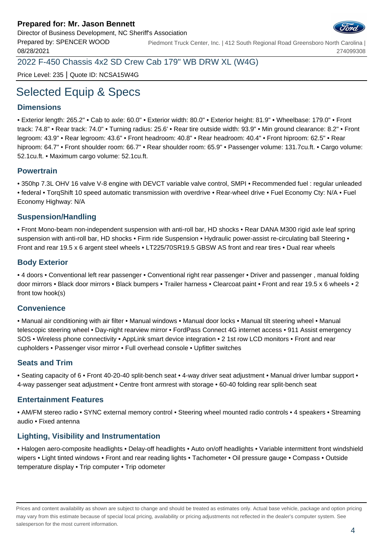

Prepared by: SPENCER WOOD 08/28/2021 Piedmont Truck Center, Inc. | 412 South Regional Road Greensboro North Carolina | 274099308

2022 F-450 Chassis 4x2 SD Crew Cab 179" WB DRW XL (W4G)

Price Level: 235 | Quote ID: NCSA15W4G

# Selected Equip & Specs

#### **Dimensions**

• Exterior length: 265.2" • Cab to axle: 60.0" • Exterior width: 80.0" • Exterior height: 81.9" • Wheelbase: 179.0" • Front track: 74.8" • Rear track: 74.0" • Turning radius: 25.6' • Rear tire outside width: 93.9" • Min ground clearance: 8.2" • Front legroom: 43.9" • Rear legroom: 43.6" • Front headroom: 40.8" • Rear headroom: 40.4" • Front hiproom: 62.5" • Rear hiproom: 64.7" • Front shoulder room: 66.7" • Rear shoulder room: 65.9" • Passenger volume: 131.7cu.ft. • Cargo volume: 52.1cu.ft. • Maximum cargo volume: 52.1cu.ft.

#### **Powertrain**

• 350hp 7.3L OHV 16 valve V-8 engine with DEVCT variable valve control, SMPI • Recommended fuel : regular unleaded • federal • TorqShift 10 speed automatic transmission with overdrive • Rear-wheel drive • Fuel Economy Cty: N/A • Fuel Economy Highway: N/A

#### **Suspension/Handling**

• Front Mono-beam non-independent suspension with anti-roll bar, HD shocks • Rear DANA M300 rigid axle leaf spring suspension with anti-roll bar, HD shocks • Firm ride Suspension • Hydraulic power-assist re-circulating ball Steering • Front and rear 19.5 x 6 argent steel wheels • LT225/70SR19.5 GBSW AS front and rear tires • Dual rear wheels

#### **Body Exterior**

• 4 doors • Conventional left rear passenger • Conventional right rear passenger • Driver and passenger , manual folding door mirrors • Black door mirrors • Black bumpers • Trailer harness • Clearcoat paint • Front and rear 19.5 x 6 wheels • 2 front tow hook(s)

#### **Convenience**

• Manual air conditioning with air filter • Manual windows • Manual door locks • Manual tilt steering wheel • Manual telescopic steering wheel • Day-night rearview mirror • FordPass Connect 4G internet access • 911 Assist emergency SOS • Wireless phone connectivity • AppLink smart device integration • 2 1st row LCD monitors • Front and rear cupholders • Passenger visor mirror • Full overhead console • Upfitter switches

#### **Seats and Trim**

• Seating capacity of 6 • Front 40-20-40 split-bench seat • 4-way driver seat adjustment • Manual driver lumbar support • 4-way passenger seat adjustment • Centre front armrest with storage • 60-40 folding rear split-bench seat

#### **Entertainment Features**

• AM/FM stereo radio • SYNC external memory control • Steering wheel mounted radio controls • 4 speakers • Streaming audio • Fixed antenna

#### **Lighting, Visibility and Instrumentation**

• Halogen aero-composite headlights • Delay-off headlights • Auto on/off headlights • Variable intermittent front windshield wipers • Light tinted windows • Front and rear reading lights • Tachometer • Oil pressure gauge • Compass • Outside temperature display • Trip computer • Trip odometer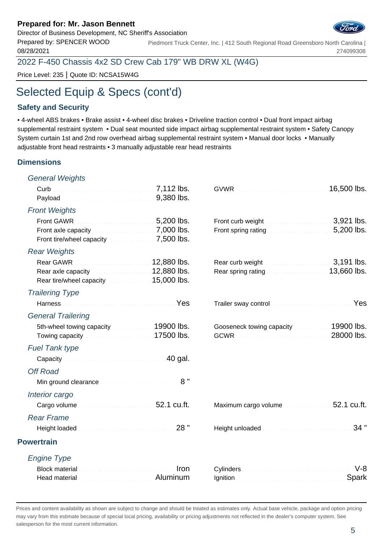Director of Business Development, NC Sheriff's Association

Prepared by: SPENCER WOOD 08/28/2021 Piedmont Truck Center, Inc. | 412 South Regional Road Greensboro North Carolina | 274099308

2022 F-450 Chassis 4x2 SD Crew Cab 179" WB DRW XL (W4G)

Price Level: 235 | Quote ID: NCSA15W4G

# Selected Equip & Specs (cont'd)

#### **Safety and Security**

• 4-wheel ABS brakes • Brake assist • 4-wheel disc brakes • Driveline traction control • Dual front impact airbag supplemental restraint system • Dual seat mounted side impact airbag supplemental restraint system • Safety Canopy System curtain 1st and 2nd row overhead airbag supplemental restraint system • Manual door locks • Manually adjustable front head restraints • 3 manually adjustable rear head restraints

#### **Dimensions**

| <b>General Weights</b>                                                                                                                                                                                                                                                                             |      |                                                                                                                                                                                                                                |                |
|----------------------------------------------------------------------------------------------------------------------------------------------------------------------------------------------------------------------------------------------------------------------------------------------------|------|--------------------------------------------------------------------------------------------------------------------------------------------------------------------------------------------------------------------------------|----------------|
|                                                                                                                                                                                                                                                                                                    |      |                                                                                                                                                                                                                                | 16,500 lbs.    |
| <b>Front Weights</b>                                                                                                                                                                                                                                                                               |      |                                                                                                                                                                                                                                |                |
| Front axle capacity Manuscript Manuscript 7,000 lbs.                                                                                                                                                                                                                                               |      | Front spring rating <b>Exercise 200</b> lbs.                                                                                                                                                                                   | 3,921 lbs.     |
| <b>Rear Weights</b>                                                                                                                                                                                                                                                                                |      |                                                                                                                                                                                                                                |                |
| 12,880 lbs.<br>Rear axle capacity <b>Constitution 12,880 lbs.</b><br>Rear tire/wheel capacity <b>Constrainer 15,000 lbs.</b>                                                                                                                                                                       |      | Rear spring rating <b>Election Contract 13,660 lbs.</b>                                                                                                                                                                        | 3,191 lbs.     |
| <b>Trailering Type</b>                                                                                                                                                                                                                                                                             |      |                                                                                                                                                                                                                                |                |
| Harness <b>Market Barnett Allen Barnett Barnett Barnett</b> Pes                                                                                                                                                                                                                                    |      | Trailer sway control manufacturers and control to the state of the state of the state of the state of the state of the state of the state of the state of the state of the state of the state of the state of the state of the | Yes            |
| <b>General Trailering</b>                                                                                                                                                                                                                                                                          |      |                                                                                                                                                                                                                                |                |
| 5th-wheel towing capacity <b>State of August 2000 Ibs.</b><br>Towing capacity <b>Contract Contract Contract Contract Contract Contract Contract Contract Contract Contract Contract Contract Contract Contract Contract Contract Contract Contract Contract Contract Contract Contract Contrac</b> |      | Gooseneck towing capacity <b>Cooseneck</b> towing capacity                                                                                                                                                                     | 28000 lbs.     |
| <b>Fuel Tank type</b>                                                                                                                                                                                                                                                                              |      |                                                                                                                                                                                                                                |                |
| Capacity Capacity Capacity Capacity Capacity Capacity Capacity Capacity Capacity Capacity Capacity Capacity Capacity Capacity Capacity Capacity Capacity Capacity Capacity Capacity Capacity Capacity Capacity Capacity Capaci                                                                     |      |                                                                                                                                                                                                                                |                |
| <b>Off Road</b>                                                                                                                                                                                                                                                                                    |      |                                                                                                                                                                                                                                |                |
| Min ground clearance <b>Minimum and Street and Street and Street and Street and Street and Street and Street and Street and Street and Street and Street and Street and Street and Street and Street and Street and Street and S</b>                                                               | 8"   |                                                                                                                                                                                                                                |                |
| Interior cargo                                                                                                                                                                                                                                                                                     |      |                                                                                                                                                                                                                                |                |
| Cargo volume and all and all the S2.1 cu.ft.                                                                                                                                                                                                                                                       |      | Maximum cargo volume                                                                                                                                                                                                           |                |
| <b>Rear Frame</b>                                                                                                                                                                                                                                                                                  |      |                                                                                                                                                                                                                                |                |
| Height loaded <b>Manual Account and September 2016</b>                                                                                                                                                                                                                                             | 28"  |                                                                                                                                                                                                                                | 34"            |
| <b>Powertrain</b>                                                                                                                                                                                                                                                                                  |      |                                                                                                                                                                                                                                |                |
| <b>Engine Type</b>                                                                                                                                                                                                                                                                                 |      |                                                                                                                                                                                                                                |                |
| Block material material and continuum and continuum<br>Head material <b>Exercises</b> Aluminum                                                                                                                                                                                                     | Iron |                                                                                                                                                                                                                                | $V-8$<br>Spark |
|                                                                                                                                                                                                                                                                                                    |      |                                                                                                                                                                                                                                |                |

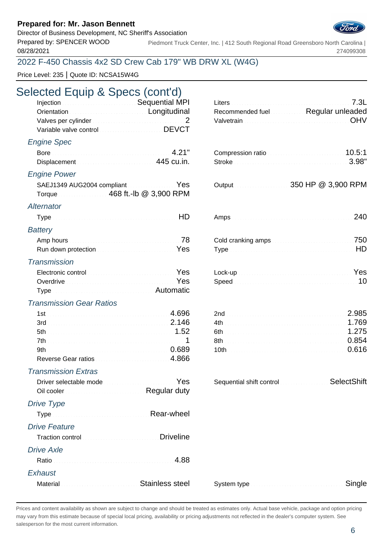Director of Business Development, NC Sheriff's Association

08/28/2021

Prepared by: SPENCER WOOD Piedmont Truck Center, Inc. | 412 South Regional Road Greensboro North Carolina | 274099308

### 2022 F-450 Chassis 4x2 SD Crew Cab 179" WB DRW XL (W4G)

Price Level: 235 | Quote ID: NCSA15W4G

# Selected Equip & Specs (cont'd)

| Injection <b>Execution</b> Sequential MPI                 |  | Liters 2.3L                                       |
|-----------------------------------------------------------|--|---------------------------------------------------|
| Orientation <b>Construction Construction Construction</b> |  | Recommended fuel Requilar unleaded                |
| Valves per cylinder <b>Material Community Community</b> 2 |  | Valvetrain Material Account of the University OHV |
| Variable valve control Marian Marian DEVCT                |  |                                                   |

#### Engine Spec

|                     | Displacement <b>Construction Construction</b> 445 cu.in. |  |
|---------------------|----------------------------------------------------------|--|
| <b>Engine Power</b> |                                                          |  |
|                     | SAEJ1349 AUG2004 compliant Material August 2013          |  |
|                     | Torque 468 ft.-lb @ 3,900 RPM                            |  |
| Alternator          |                                                          |  |

### Alternato

| Battery |  |
|---------|--|
|         |  |

#### **Transmission**

| Electronic control <b>Electronic Control</b>                |  |
|-------------------------------------------------------------|--|
| Overdrive <b>Constitution Constitution Constitution</b> Yes |  |
| Type Material Communication and Automatic                   |  |

#### Transmission Gear Ratios

| $1st$ $4.696$       |  |
|---------------------|--|
|                     |  |
|                     |  |
|                     |  |
|                     |  |
| Reverse Gear ratios |  |

#### Transmission Extras

Driver selectable mode New Selection Selection Selection Selection Selection Selection Selection Selection Selection Selection Selection Selection Selection Selection Selection Selection Selection Selection Selection Selec Oil cooler **Regular duty** 

#### Drive Type

|                      | Type measurements are Rear-wheel                                                                                                                                                                                                    |
|----------------------|-------------------------------------------------------------------------------------------------------------------------------------------------------------------------------------------------------------------------------------|
| <b>Drive Feature</b> |                                                                                                                                                                                                                                     |
|                      | Traction control <b>Control Control Control Control Control</b> Driveline                                                                                                                                                           |
| <b>Drive Axle</b>    |                                                                                                                                                                                                                                     |
|                      | Ratio                                                                                                                                                                                                                               |
| Exhaust              |                                                                                                                                                                                                                                     |
|                      | Material <b>Material</b> Material Account Material Material Material Material Material Material Material Material Material Material Material Material Material Material Material Material Material Material Material Material Mater |

| Orientation <b>Construction Construction Construction</b>                                                                                                        |               |                   | Recommended fuel Regular unleaded |
|------------------------------------------------------------------------------------------------------------------------------------------------------------------|---------------|-------------------|-----------------------------------|
| Variable valve control Manuscription DEVCT                                                                                                                       | $\mathcal{P}$ |                   | OHV                               |
| ngine Spec                                                                                                                                                       |               |                   |                                   |
| Displacement 2000 and 2000 and 2000 and 2445 cu.in.                                                                                                              | 4.21"         | Compression ratio | 10.5:1<br>3.98"                   |
| gine Power                                                                                                                                                       |               |                   |                                   |
| SAEJ1349 AUG2004 compliant Material Manuscript Yes<br>Torque 468 ft.-lb @ 3,900 RPM                                                                              |               |                   | 350 HP @ 3,900 RPM                |
| ternator                                                                                                                                                         |               |                   |                                   |
|                                                                                                                                                                  |               |                   | 240                               |
| ttery                                                                                                                                                            |               |                   |                                   |
| Run down protection <b>Committee Committee Committee Protection</b>                                                                                              |               |                   | HD                                |
| ansmission                                                                                                                                                       |               |                   |                                   |
| Electronic control <b>Electronic Control</b><br>Overdrive <b>Commission Commission Contract of Pes</b><br>Type Committee Committee Committee Committee Automatic |               |                   | Yes<br>10                         |

| Sequential shift control management | SelectShift |
|-------------------------------------|-------------|
|-------------------------------------|-------------|

| System type <b>Executive Contract Contract Contract Contract Contract Contract Contract Contract Contract Contract Contract Contract Contract Contract Contract Contract Contract Contract Contract Contract Contract Contract C</b> |  |
|--------------------------------------------------------------------------------------------------------------------------------------------------------------------------------------------------------------------------------------|--|
|--------------------------------------------------------------------------------------------------------------------------------------------------------------------------------------------------------------------------------------|--|

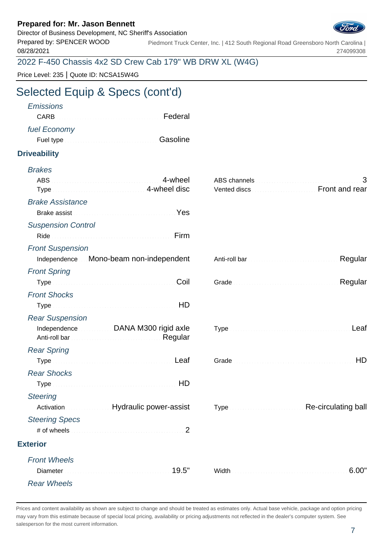Director of Business Development, NC Sheriff's Association



Prepared by: SPENCER WOOD 08/28/2021 Piedmont Truck Center, Inc. | 412 South Regional Road Greensboro North Carolina | 274099308

2022 F-450 Chassis 4x2 SD Crew Cab 179" WB DRW XL (W4G)

Price Level: 235 | Quote ID: NCSA15W4G

# Selected Equip & Specs (cont'd)

| <b>Emissions</b><br><b>CARB</b>                                                                                                                                                                                                | Federal                       |                                                  |
|--------------------------------------------------------------------------------------------------------------------------------------------------------------------------------------------------------------------------------|-------------------------------|--------------------------------------------------|
|                                                                                                                                                                                                                                |                               |                                                  |
| fuel Economy                                                                                                                                                                                                                   | Gasoline                      |                                                  |
|                                                                                                                                                                                                                                |                               |                                                  |
| <b>Driveability</b>                                                                                                                                                                                                            |                               |                                                  |
| <b>Brakes</b>                                                                                                                                                                                                                  |                               |                                                  |
|                                                                                                                                                                                                                                | 4-wheel                       | 3                                                |
| Type Manuscriptus and A-wheel disc                                                                                                                                                                                             |                               | Vented discs <b>Manufacturers</b> Front and rear |
| <b>Brake Assistance</b>                                                                                                                                                                                                        |                               |                                                  |
| Brake assist Material Account of the Message of Pessian Account of the Message of the Message of the Message of the Message of the Message of the Message of the Message of the Message of the Message of the Message of the M |                               |                                                  |
| <b>Suspension Control</b>                                                                                                                                                                                                      |                               |                                                  |
| Ride                                                                                                                                                                                                                           | Firm                          |                                                  |
| <b>Front Suspension</b>                                                                                                                                                                                                        |                               |                                                  |
| Independence Mono-beam non-independent                                                                                                                                                                                         |                               | Regular                                          |
| <b>Front Spring</b>                                                                                                                                                                                                            |                               |                                                  |
|                                                                                                                                                                                                                                | Coil                          | Regular                                          |
| <b>Front Shocks</b>                                                                                                                                                                                                            |                               |                                                  |
| Type Manual Communication and HD                                                                                                                                                                                               |                               |                                                  |
| <b>Rear Suspension</b>                                                                                                                                                                                                         |                               |                                                  |
| Independence DANA M300 rigid axle                                                                                                                                                                                              |                               | Leaf                                             |
| <b>Rear Spring</b>                                                                                                                                                                                                             |                               |                                                  |
| Type Manual Communication of the Leaf                                                                                                                                                                                          |                               | HD                                               |
| <b>Rear Shocks</b>                                                                                                                                                                                                             |                               |                                                  |
| Type HD                                                                                                                                                                                                                        |                               |                                                  |
| <b>Steering</b>                                                                                                                                                                                                                |                               |                                                  |
| Activation<br>in a shekarar a shekara                                                                                                                                                                                          | <b>Hydraulic power-assist</b> | Re-circulating ball                              |
| <b>Steering Specs</b>                                                                                                                                                                                                          |                               |                                                  |
|                                                                                                                                                                                                                                | 2                             |                                                  |
| <b>Exterior</b>                                                                                                                                                                                                                |                               |                                                  |
| <b>Front Wheels</b>                                                                                                                                                                                                            |                               |                                                  |
| Diameter                                                                                                                                                                                                                       |                               | 6.00"                                            |
| <b>Rear Wheels</b>                                                                                                                                                                                                             |                               |                                                  |
|                                                                                                                                                                                                                                |                               |                                                  |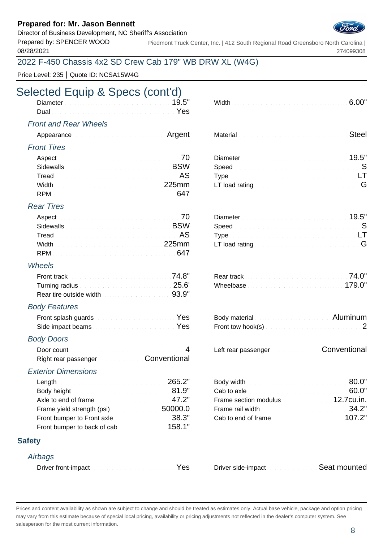Director of Business Development, NC Sheriff's Association

Prepared by: SPENCER WOOD 08/28/2021

Piedmont Truck Center, Inc. | 412 South Regional Road Greensboro North Carolina | 274099308

### 2022 F-450 Chassis 4x2 SD Crew Cab 179" WB DRW XL (W4G)

Price Level: 235 | Quote ID: NCSA15W4G

# Selected Equip & Specs (cont'd)

#### Front and Rear Wheels

| Appearance and the continuum of the Argent | Material Material Committee of the Material Committee of the Steel |  |
|--------------------------------------------|--------------------------------------------------------------------|--|
|                                            |                                                                    |  |

#### Front Tires

|                                                                                                                                                                                                                                      | Viameter $\sim$ 19.5" |  |
|--------------------------------------------------------------------------------------------------------------------------------------------------------------------------------------------------------------------------------------|-----------------------|--|
| Sidewalls <b>Example 2018</b> Sidewalls <b>EXAMPLE</b>                                                                                                                                                                               |                       |  |
| Tread <b>Executive Contract Contract Contract Contract Contract Contract Contract Contract Contract Contract Contract Contract Contract Contract Contract Contract Contract Contract Contract Contract Contract Contract Contrac</b> |                       |  |
| Width 225mm                                                                                                                                                                                                                          |                       |  |
|                                                                                                                                                                                                                                      |                       |  |

#### Rear Tires

| Sidewalls <b>Example 2018</b> Sidewalls <b>EXAMPLE</b> |  |  |
|--------------------------------------------------------|--|--|
|                                                        |  |  |
|                                                        |  |  |
|                                                        |  |  |

#### Wheels

| Turning radius <b>Constitution Constitution</b> 25.6'              |  | 179.0" |
|--------------------------------------------------------------------|--|--------|
| Rear tire outside width <b>Community Controller Students</b> 93.9" |  |        |

#### Body Features

| Front splash guards <b>Exercises Exercises Yes</b>           | Body material <b>Contract Contract Contract Aluminum</b> |  |
|--------------------------------------------------------------|----------------------------------------------------------|--|
| Side impact beams <b>Election Contract Contract of Press</b> |                                                          |  |

#### Body Doors

| Right rear passenger Conventional |  |
|-----------------------------------|--|

#### Exterior Dimensions

| Length 265.2"                                                                                                                                                                                                                        |  |
|--------------------------------------------------------------------------------------------------------------------------------------------------------------------------------------------------------------------------------------|--|
| Body height <b>Executive Contract Contract Contract Contract Contract Contract Contract Contract Contract Contract Contract Contract Contract Contract Contract Contract Contract Contract Contract Contract Contract Contract C</b> |  |
| Axle to end of frame                                                                                                                                                                                                                 |  |
| Frame yield strength (psi) [19] Solomon Solomon Solomon Solomon Solomon Solomon Solomon Solomon Solomon Solomon S                                                                                                                    |  |
| Front bumper to Front axle <b>Exercise 2018</b> .3"                                                                                                                                                                                  |  |
| Front bumper to back of cab                                                                                                                                                                                                          |  |

#### **Safety**

#### **Airbags**

| Driver front-impact Manuscript Manuscript Nes |  |
|-----------------------------------------------|--|
|-----------------------------------------------|--|

| vviatn |  |  |  |  |  |  |  |  |  |  |  |  |  |  |  |
|--------|--|--|--|--|--|--|--|--|--|--|--|--|--|--|--|
|        |  |  |  |  |  |  |  |  |  |  |  |  |  |  |  |
|        |  |  |  |  |  |  |  |  |  |  |  |  |  |  |  |

|  |  | Material <b>Material Commission Commission</b> Steel |  |
|--|--|------------------------------------------------------|--|
|  |  |                                                      |  |

| Diameter 19.5"                                                                                                                                                                                                                |  |
|-------------------------------------------------------------------------------------------------------------------------------------------------------------------------------------------------------------------------------|--|
| Speed Speed Speed Speed Speed Speed Speed Speed Speed Speed Speed Speed Speed Speed Speed Speed Speed Speed Speed Speed Speed Speed Speed Speed Speed Speed Speed Speed Speed Speed Speed Speed Speed Speed Speed Speed Speed |  |
|                                                                                                                                                                                                                               |  |
|                                                                                                                                                                                                                               |  |

| LT load rating $\sim$ . A construction of the constraint $\mathsf G$ |  |
|----------------------------------------------------------------------|--|

| Body material and all and all and all and all all all all all Aluminum |  |
|------------------------------------------------------------------------|--|
|                                                                        |  |
|                                                                        |  |

Left rear passenger Conventional

|                                                            | Body width <b>Exercise Construction of SO.O"</b>                                                                                                                                                                                                                                                                                         |  |
|------------------------------------------------------------|------------------------------------------------------------------------------------------------------------------------------------------------------------------------------------------------------------------------------------------------------------------------------------------------------------------------------------------|--|
|                                                            | Cab to axle <b>Cab</b> to axle <b>Cab</b> to axle <b>CAB</b> and <b>CAB</b> and <b>CAB</b> and <b>CAB</b> and <b>CAB</b> and <b>CAB</b> and <b>CAB</b> and <b>CAB</b> and <b>CAB</b> and <b>CAB</b> and <b>CAB</b> and <b>CAB</b> and <b>CAB</b> and <b>CAB</b> and <b>CAB</b> and <b>CAB</b> and <b>CAB</b> and <b>CAB</b> and <b>C</b> |  |
| Axle to end of frame $\sim 47.2"$                          | Frame section modulus 12.7cu.in.                                                                                                                                                                                                                                                                                                         |  |
| Frame yield strength (psi) $\ldots$ . The set of $50000.0$ |                                                                                                                                                                                                                                                                                                                                          |  |
| Front bumper to Front axle $\ldots$ . The set of $38.3"$   | Cab to end of frame                                                                                                                                                                                                                                                                                                                      |  |

Driver side-impact Seat mounted

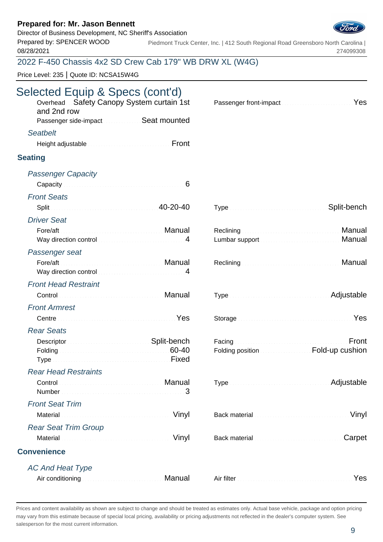Director of Business Development, NC Sheriff's Association

Prepared by: SPENCER WOOD 08/28/2021

Piedmont Truck Center, Inc. | 412 South Regional Road Greensboro North Carolina | 274099308

# 2022 F-450 Chassis 4x2 SD Crew Cab 179" WB DRW XL (W4G)

Price Level: 235 | Quote ID: NCSA15W4G

| Selected Equip & Specs (cont'd)<br>Overhead Safety Canopy System curtain 1st<br>and 2nd row<br>Passenger side-impact Seat mounted                                                                                                                                                  | Passenger front-impact Material Communication Pes                 |
|------------------------------------------------------------------------------------------------------------------------------------------------------------------------------------------------------------------------------------------------------------------------------------|-------------------------------------------------------------------|
| <b>Seatbelt</b><br>Front<br>Height adjustable and continuum and continuum                                                                                                                                                                                                          |                                                                   |
| <b>Seating</b>                                                                                                                                                                                                                                                                     |                                                                   |
| <b>Passenger Capacity</b>                                                                                                                                                                                                                                                          |                                                                   |
| <b>Front Seats</b>                                                                                                                                                                                                                                                                 |                                                                   |
| Split 20-20-40                                                                                                                                                                                                                                                                     | Split-bench                                                       |
| <b>Driver Seat</b><br>Way direction control material control and 4                                                                                                                                                                                                                 | Reclining <b>Manual</b><br>Manual<br>Lumbar support               |
| Passenger seat                                                                                                                                                                                                                                                                     |                                                                   |
| Fore/aft<br>Manual Manual Andrews Andrews Manual<br>Way direction control and an article and a series of the series of the series of the series of the series of the series of the series of the series of the series of the series of the series of the series of the series of t | Manual                                                            |
| <b>Front Head Restraint</b>                                                                                                                                                                                                                                                        |                                                                   |
| Control <b>Control Control</b>                                                                                                                                                                                                                                                     | Type Manual Communication and Adjustable                          |
| <b>Front Armrest</b>                                                                                                                                                                                                                                                               |                                                                   |
| Centre <b>Contract Contract Contract Contract Contract Contract Contract Contract Contract Contract Contract Contract Contract Contract Contract Contract Contract Contract Contract Contract Contract Contract Contract Contrac</b>                                               | Storage Manual Communication of the Yes                           |
| <b>Rear Seats</b>                                                                                                                                                                                                                                                                  |                                                                   |
| Descriptor Material Account of Split-bench<br>Folding <b>60-40</b>                                                                                                                                                                                                                 | Front<br>Folding position <b>Exercise Section</b> Fold-up cushion |
| <b>Rear Head Restraints</b>                                                                                                                                                                                                                                                        |                                                                   |
| Control<br>3                                                                                                                                                                                                                                                                       | Adjustable                                                        |
| <b>Front Seat Trim</b>                                                                                                                                                                                                                                                             |                                                                   |
| Material <b>Material</b> Material Account of the Community of the Minyl                                                                                                                                                                                                            | Vinyl                                                             |
| <b>Rear Seat Trim Group</b>                                                                                                                                                                                                                                                        |                                                                   |
| Vinyl                                                                                                                                                                                                                                                                              | Carpet                                                            |
| <b>Convenience</b>                                                                                                                                                                                                                                                                 |                                                                   |
| <b>AC And Heat Type</b>                                                                                                                                                                                                                                                            |                                                                   |
| Air conditioning <b>Air Conditioning</b>                                                                                                                                                                                                                                           | Air filter <b>Executive Contract Contract Contract Press</b>      |

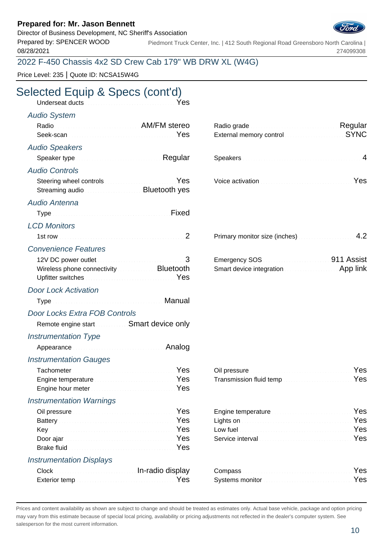Director of Business Development, NC Sheriff's Association

Prepared by: SPENCER WOOD 08/28/2021

Piedmont Truck Center, Inc. | 412 South Regional Road Greensboro North Carolina | 274099308

### 2022 F-450 Chassis 4x2 SD Crew Cab 179" WB DRW XL (W4G)

Price Level: 235 | Quote ID: NCSA15W4G

# Selected Equip & Specs (cont'd)

| Underseat ducts <b>Constitution Constitution</b> Pes                                                                                                                                                                                                                                                                                                                     |        |                                                                                                                                                                                                                                                                                                  |             |
|--------------------------------------------------------------------------------------------------------------------------------------------------------------------------------------------------------------------------------------------------------------------------------------------------------------------------------------------------------------------------|--------|--------------------------------------------------------------------------------------------------------------------------------------------------------------------------------------------------------------------------------------------------------------------------------------------------|-------------|
| <b>Audio System</b>                                                                                                                                                                                                                                                                                                                                                      |        |                                                                                                                                                                                                                                                                                                  |             |
| Radio Radio AM/FM stereo                                                                                                                                                                                                                                                                                                                                                 | Yes    | Radio grade <b>Material Contract and Regular</b><br>External memory control memorial control and the state of the state of the state of the state of the state of the state of the state of the state of the state of the state of the state of the state of the state of the stat               | <b>SYNC</b> |
| <b>Audio Speakers</b>                                                                                                                                                                                                                                                                                                                                                    |        |                                                                                                                                                                                                                                                                                                  |             |
| Speaker type <b>Speaker</b> type <b>Speaker</b> type <b>Speaker</b> type <b>Speaker</b> type <b>Speaker</b> type <b>Speaker</b> type <b>Speaker Speaker Speaker Speaker Speaker Speaker Speaker Speaker Speaker Speaker Speaker Speaker</b>                                                                                                                              |        |                                                                                                                                                                                                                                                                                                  |             |
| <b>Audio Controls</b>                                                                                                                                                                                                                                                                                                                                                    |        |                                                                                                                                                                                                                                                                                                  |             |
| Steering wheel controls <b>Steering</b> Wes<br>Streaming audio <b>Streaming and Streaming Audio Advices</b>                                                                                                                                                                                                                                                              |        | Voice activation Material Contract of Material Pres                                                                                                                                                                                                                                              |             |
| Audio Antenna                                                                                                                                                                                                                                                                                                                                                            |        |                                                                                                                                                                                                                                                                                                  |             |
| Type Manuscription of the Contract of Tixed                                                                                                                                                                                                                                                                                                                              |        |                                                                                                                                                                                                                                                                                                  |             |
| <b>LCD Monitors</b>                                                                                                                                                                                                                                                                                                                                                      |        |                                                                                                                                                                                                                                                                                                  |             |
|                                                                                                                                                                                                                                                                                                                                                                          | 2      | Primary monitor size (inches) <b>Constrainers</b> 4.2                                                                                                                                                                                                                                            |             |
| <b>Convenience Features</b>                                                                                                                                                                                                                                                                                                                                              |        |                                                                                                                                                                                                                                                                                                  |             |
| 12V DC power outlet <b>Manual According to the State of According 3</b><br>Wireless phone connectivity <b>Constant Bluetooth</b><br>Upfitter switches <b>Committee Committee Committee Committee Committee Committee Committee Committee Committee Committee Committee Committee Committee Committee Committee Committee Committee Committee Committee Committee Com</b> |        | Emergency SOS <b>Contract Contract Contract Contract Contract Contract Contract Contract Contract Contract Contract Contract Contract Contract Contract Contract Contract Contract Contract Contract Contract Contract Contract </b><br>Smart device integration <b>Smart device integration</b> |             |
| <b>Door Lock Activation</b>                                                                                                                                                                                                                                                                                                                                              |        |                                                                                                                                                                                                                                                                                                  |             |
| Type Manual Committee of the Manual Manual                                                                                                                                                                                                                                                                                                                               |        |                                                                                                                                                                                                                                                                                                  |             |
| Door Locks Extra FOB Controls                                                                                                                                                                                                                                                                                                                                            |        |                                                                                                                                                                                                                                                                                                  |             |
| Remote engine start Smart device only                                                                                                                                                                                                                                                                                                                                    |        |                                                                                                                                                                                                                                                                                                  |             |
| <b>Instrumentation Type</b>                                                                                                                                                                                                                                                                                                                                              |        |                                                                                                                                                                                                                                                                                                  |             |
|                                                                                                                                                                                                                                                                                                                                                                          | Analog |                                                                                                                                                                                                                                                                                                  |             |
| <b>Instrumentation Gauges</b>                                                                                                                                                                                                                                                                                                                                            |        |                                                                                                                                                                                                                                                                                                  |             |
| Tachometer <b>Manual Community Community</b> Pes                                                                                                                                                                                                                                                                                                                         |        | Oil pressure <b>Election Communication</b> Pes                                                                                                                                                                                                                                                   |             |
| Engine temperature <b>Engine Strategie and Strategie and Strategie and Strategie and Strategie and Strategie and S</b>                                                                                                                                                                                                                                                   |        | Transmission fluid temp <b>Community Community</b> Yes                                                                                                                                                                                                                                           |             |
| Engine hour meter <b>Experience and September 2018</b>                                                                                                                                                                                                                                                                                                                   | Yes    |                                                                                                                                                                                                                                                                                                  |             |
| <b>Instrumentation Warnings</b>                                                                                                                                                                                                                                                                                                                                          |        |                                                                                                                                                                                                                                                                                                  |             |
|                                                                                                                                                                                                                                                                                                                                                                          | Yes    | Engine temperature <b>Engine Strategier and Strategier and Strategier and Strategier and Strategier and Strategier</b>                                                                                                                                                                           | Yes<br>Yes  |
| Battery Manual Communication of the Yes                                                                                                                                                                                                                                                                                                                                  | Yes    | Lights on <b>Executive Commission</b> Commission and Commission                                                                                                                                                                                                                                  | Yes         |
| Door ajar Martin Martin Martin Martin Martin Martin Yes                                                                                                                                                                                                                                                                                                                  |        |                                                                                                                                                                                                                                                                                                  | Yes         |
|                                                                                                                                                                                                                                                                                                                                                                          | Yes    |                                                                                                                                                                                                                                                                                                  |             |
| <b>Instrumentation Displays</b>                                                                                                                                                                                                                                                                                                                                          |        |                                                                                                                                                                                                                                                                                                  |             |

| Clock Clock Clock Clock Clock Clock Clock Clock Clock Clock Clock Clock Clock Clock Clock Clock Clock Clock Clock Clock Clock Clock Clock Clock Clock Clock Clock Clock Clock Clock Clock Clock Clock Clock Clock Clock Clock | Compass and the compass of the compass of the compass of the compass of the company of the company of the comp |     |
|-------------------------------------------------------------------------------------------------------------------------------------------------------------------------------------------------------------------------------|----------------------------------------------------------------------------------------------------------------|-----|
|                                                                                                                                                                                                                               | Systems monitor <b>Community</b> Systems monitor                                                               | Yes |

| Radio grade <b>Material Contract Contract Regular</b> |  |
|-------------------------------------------------------|--|
| External memory control <b>External STRO</b>          |  |
|                                                       |  |
|                                                       |  |
|                                                       |  |
|                                                       |  |

| oice activation <b>Active Contract of Contract of Contract of Contract of Contract Oriental Contract Oriental Contract Oriental Contract Oriental Contract Oriental Contract Oriental Contract Oriental Contract Oriental Contra</b> |  |  |
|--------------------------------------------------------------------------------------------------------------------------------------------------------------------------------------------------------------------------------------|--|--|
|--------------------------------------------------------------------------------------------------------------------------------------------------------------------------------------------------------------------------------------|--|--|

| Primary monitor size (inches) <b>Example 2</b> , 2 |  |
|----------------------------------------------------|--|
|----------------------------------------------------|--|

| Emergency SOS <b>Continued in the State of August</b> | 911 Assist |
|-------------------------------------------------------|------------|
| <b>Smart device integration <i>Communication</i></b>  | App link   |

| Oil pressure <b>Commission Commission Commission</b> Yes     |  |
|--------------------------------------------------------------|--|
| Transmission fluid temp <b>Construction Construction</b> Yes |  |

| Engine temperature <b>Engine Strategie Press</b>                                                                                                                                                                                     |  |
|--------------------------------------------------------------------------------------------------------------------------------------------------------------------------------------------------------------------------------------|--|
| Lights on <b>Executive Contract Contract on the State of Tes</b>                                                                                                                                                                     |  |
| Low fuel <b>Executive Contract Contract Contract Contract Contract Contract Contract Contract Contract Contract Contract Contract Contract Contract Contract Contract Contract Contract Contract Contract Contract Contract Cont</b> |  |
| Service interval <b>Exercise Construction</b> Pes                                                                                                                                                                                    |  |

| Systems monitor <b>Constitution Constitution Constitution</b> Yes |  |
|-------------------------------------------------------------------|--|

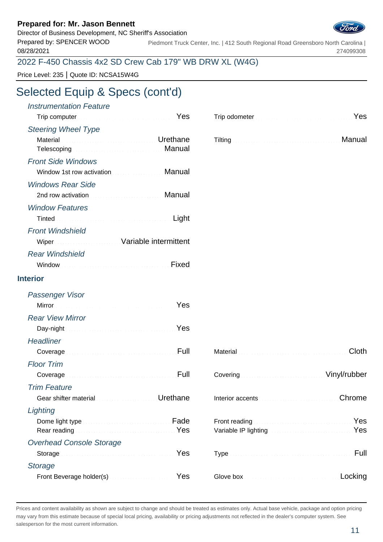Director of Business Development, NC Sheriff's Association

Prepared by: SPENCER WOOD 08/28/2021

Piedmont Truck Center, Inc. | 412 South Regional Road Greensboro North Carolina | 274099308

### 2022 F-450 Chassis 4x2 SD Crew Cab 179" WB DRW XL (W4G)

Price Level: 235 | Quote ID: NCSA15W4G

# Selected Equip & Specs (cont'd)

| <b>Instrumentation Feature</b><br>Trip computer <b>Executive Computer 1999</b>                                                                                                                                                       |        | Trip odometer <b>Election Contract Contract of Press</b>                                                                                      |
|--------------------------------------------------------------------------------------------------------------------------------------------------------------------------------------------------------------------------------------|--------|-----------------------------------------------------------------------------------------------------------------------------------------------|
| <b>Steering Wheel Type</b>                                                                                                                                                                                                           |        |                                                                                                                                               |
| Material <b>Material According to the Contract of Contract According Urethane</b><br>Telescoping <b>Electronic Control Control Control Manual</b>                                                                                    |        | Manual                                                                                                                                        |
| <b>Front Side Windows</b>                                                                                                                                                                                                            |        |                                                                                                                                               |
| Window 1st row activation <b>Communist Communist Communist Communist Communist Communist Communist Communist Communist Communist Communist Communist Communist Communist Communist Communist Communist Communist Communist Commu</b> | Manual |                                                                                                                                               |
| <b>Windows Rear Side</b>                                                                                                                                                                                                             |        |                                                                                                                                               |
|                                                                                                                                                                                                                                      | Manual |                                                                                                                                               |
| <b>Window Features</b>                                                                                                                                                                                                               |        |                                                                                                                                               |
|                                                                                                                                                                                                                                      | Light  |                                                                                                                                               |
| <b>Front Windshield</b>                                                                                                                                                                                                              |        |                                                                                                                                               |
| Wiper Wiper Street Mariable intermittent                                                                                                                                                                                             |        |                                                                                                                                               |
| <b>Rear Windshield</b>                                                                                                                                                                                                               |        |                                                                                                                                               |
|                                                                                                                                                                                                                                      | Fixed  |                                                                                                                                               |
| <b>Interior</b>                                                                                                                                                                                                                      |        |                                                                                                                                               |
| Passenger Visor                                                                                                                                                                                                                      |        |                                                                                                                                               |
| Mirror Nest Mirror (1999) Mirror (1999) 1999                                                                                                                                                                                         |        |                                                                                                                                               |
| <b>Rear View Mirror</b>                                                                                                                                                                                                              |        |                                                                                                                                               |
| Day-night News All Communications of Nes                                                                                                                                                                                             |        |                                                                                                                                               |
| <b>Headliner</b>                                                                                                                                                                                                                     |        |                                                                                                                                               |
| Coverage                                                                                                                                                                                                                             |        | <b>Cloth</b>                                                                                                                                  |
| <b>Floor Trim</b>                                                                                                                                                                                                                    |        |                                                                                                                                               |
| <u> 1999 - Januar Stein, Amerikaansk kalendister (</u><br>Coverage                                                                                                                                                                   |        | Covering Continuum Covering Covering Covering Covering Covering Covering Covering Covering Covering Covering C                                |
| <b>Trim Feature</b>                                                                                                                                                                                                                  |        |                                                                                                                                               |
| Urethane<br>Gear shifter material <b>Communication</b>                                                                                                                                                                               |        | Chrome<br>Interior accents <b>Accents Experience Interior accents</b>                                                                         |
| Lighting                                                                                                                                                                                                                             |        |                                                                                                                                               |
| Rear reading <b>Election Contract Contract Press</b>                                                                                                                                                                                 | Fade   | Yes<br>Front reading<br>Variable IP lighting <b>Committee Committee Committee Committee Committee Committee Committee Committee Committee</b> |
| <b>Overhead Console Storage</b>                                                                                                                                                                                                      |        |                                                                                                                                               |
|                                                                                                                                                                                                                                      | Yes    | Full                                                                                                                                          |
| <b>Storage</b>                                                                                                                                                                                                                       |        |                                                                                                                                               |
| Front Beverage holder(s) Manual Communication Ves                                                                                                                                                                                    |        | Locking                                                                                                                                       |